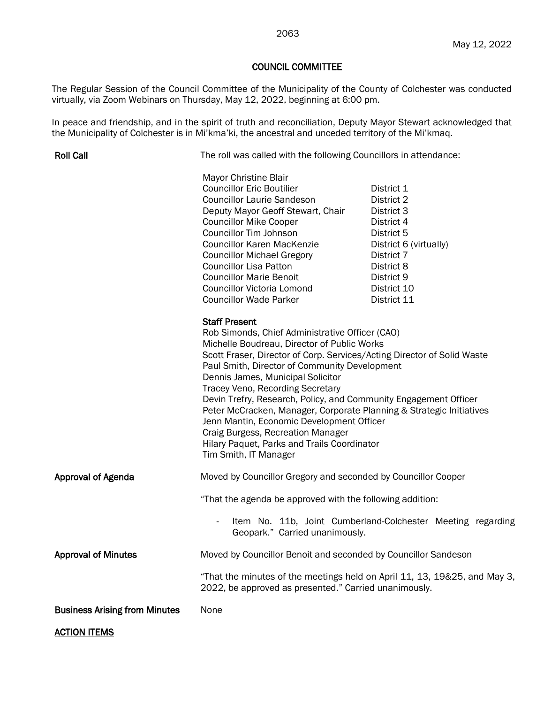## May 12, 2022

## COUNCIL COMMITTEE

The Regular Session of the Council Committee of the Municipality of the County of Colchester was conducted virtually, via Zoom Webinars on Thursday, May 12, 2022, beginning at 6:00 pm.

In peace and friendship, and in the spirit of truth and reconciliation, Deputy Mayor Stewart acknowledged that the Municipality of Colchester is in Mi'kma'ki, the ancestral and unceded territory of the Mi'kmaq.

| <b>Roll Call</b>                     | The roll was called with the following Councillors in attendance:                                                                                                                                                                                                                                                                                                                                                                                                                                                                                                                                                                 |                                                                                                                                                                      |
|--------------------------------------|-----------------------------------------------------------------------------------------------------------------------------------------------------------------------------------------------------------------------------------------------------------------------------------------------------------------------------------------------------------------------------------------------------------------------------------------------------------------------------------------------------------------------------------------------------------------------------------------------------------------------------------|----------------------------------------------------------------------------------------------------------------------------------------------------------------------|
|                                      | Mayor Christine Blair<br><b>Councillor Eric Boutilier</b><br><b>Councillor Laurie Sandeson</b><br>Deputy Mayor Geoff Stewart, Chair<br><b>Councillor Mike Cooper</b><br><b>Councillor Tim Johnson</b><br><b>Councillor Karen MacKenzie</b><br><b>Councillor Michael Gregory</b><br><b>Councillor Lisa Patton</b><br><b>Councillor Marie Benoit</b><br>Councillor Victoria Lomond<br><b>Councillor Wade Parker</b>                                                                                                                                                                                                                 | District 1<br>District 2<br>District 3<br>District 4<br>District 5<br>District 6 (virtually)<br>District 7<br>District 8<br>District 9<br>District 10<br>District 11 |
|                                      | <b>Staff Present</b><br>Rob Simonds, Chief Administrative Officer (CAO)<br>Michelle Boudreau, Director of Public Works<br>Scott Fraser, Director of Corp. Services/Acting Director of Solid Waste<br>Paul Smith, Director of Community Development<br>Dennis James, Municipal Solicitor<br>Tracey Veno, Recording Secretary<br>Devin Trefry, Research, Policy, and Community Engagement Officer<br>Peter McCracken, Manager, Corporate Planning & Strategic Initiatives<br>Jenn Mantin, Economic Development Officer<br>Craig Burgess, Recreation Manager<br>Hilary Paquet, Parks and Trails Coordinator<br>Tim Smith, IT Manager |                                                                                                                                                                      |
| <b>Approval of Agenda</b>            | Moved by Councillor Gregory and seconded by Councillor Cooper                                                                                                                                                                                                                                                                                                                                                                                                                                                                                                                                                                     |                                                                                                                                                                      |
|                                      | "That the agenda be approved with the following addition:                                                                                                                                                                                                                                                                                                                                                                                                                                                                                                                                                                         |                                                                                                                                                                      |
|                                      | $\overline{\phantom{a}}$<br>Geopark." Carried unanimously.                                                                                                                                                                                                                                                                                                                                                                                                                                                                                                                                                                        | Item No. 11b, Joint Cumberland-Colchester Meeting regarding                                                                                                          |
| <b>Approval of Minutes</b>           | Moved by Councillor Benoit and seconded by Councillor Sandeson                                                                                                                                                                                                                                                                                                                                                                                                                                                                                                                                                                    |                                                                                                                                                                      |
|                                      | "That the minutes of the meetings held on April 11, 13, 19&25, and May 3,<br>2022, be approved as presented." Carried unanimously.                                                                                                                                                                                                                                                                                                                                                                                                                                                                                                |                                                                                                                                                                      |
| <b>Business Arising from Minutes</b> | None                                                                                                                                                                                                                                                                                                                                                                                                                                                                                                                                                                                                                              |                                                                                                                                                                      |
| <b>ACTION ITEMS</b>                  |                                                                                                                                                                                                                                                                                                                                                                                                                                                                                                                                                                                                                                   |                                                                                                                                                                      |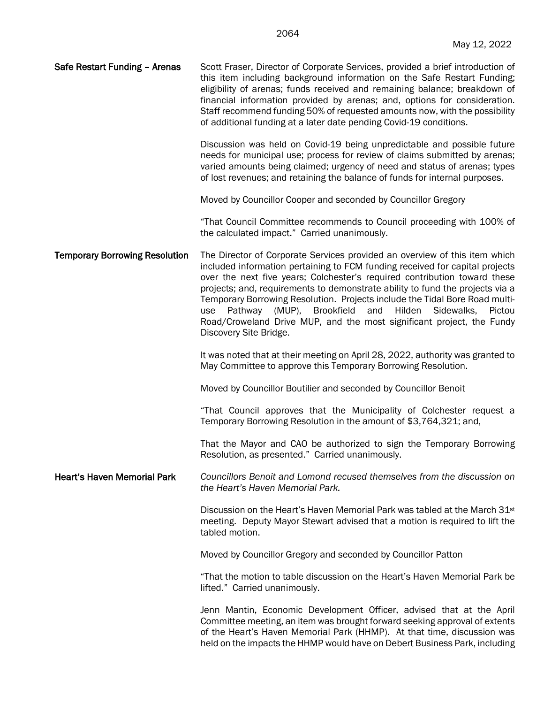| Safe Restart Funding - Arenas | Scott Fraser, Director of Corporate Services, provided a brief introduction of<br>this item including background information on the Safe Restart Funding;<br>eligibility of arenas; funds received and remaining balance; breakdown of<br>financial information provided by arenas; and, options for consideration.<br>Staff recommend funding 50% of requested amounts now, with the possibility |
|-------------------------------|---------------------------------------------------------------------------------------------------------------------------------------------------------------------------------------------------------------------------------------------------------------------------------------------------------------------------------------------------------------------------------------------------|
|                               |                                                                                                                                                                                                                                                                                                                                                                                                   |
|                               | of additional funding at a later date pending Covid-19 conditions.                                                                                                                                                                                                                                                                                                                                |

Discussion was held on Covid-19 being unpredictable and possible future needs for municipal use; process for review of claims submitted by arenas; varied amounts being claimed; urgency of need and status of arenas; types of lost revenues; and retaining the balance of funds for internal purposes.

Moved by Councillor Cooper and seconded by Councillor Gregory

"That Council Committee recommends to Council proceeding with 100% of the calculated impact." Carried unanimously.

Temporary Borrowing Resolution The Director of Corporate Services provided an overview of this item which included information pertaining to FCM funding received for capital projects over the next five years; Colchester's required contribution toward these projects; and, requirements to demonstrate ability to fund the projects via a Temporary Borrowing Resolution. Projects include the Tidal Bore Road multiuse Pathway (MUP), Brookfield and Hilden Sidewalks, Pictou Road/Croweland Drive MUP, and the most significant project, the Fundy Discovery Site Bridge.

> It was noted that at their meeting on April 28, 2022, authority was granted to May Committee to approve this Temporary Borrowing Resolution.

Moved by Councillor Boutilier and seconded by Councillor Benoit

"That Council approves that the Municipality of Colchester request a Temporary Borrowing Resolution in the amount of \$3,764,321; and,

That the Mayor and CAO be authorized to sign the Temporary Borrowing Resolution, as presented." Carried unanimously.

Heart's Haven Memorial Park *Councillors Benoit and Lomond recused themselves from the discussion on the Heart's Haven Memorial Park.*

> Discussion on the Heart's Haven Memorial Park was tabled at the March 31st meeting. Deputy Mayor Stewart advised that a motion is required to lift the tabled motion.

Moved by Councillor Gregory and seconded by Councillor Patton

"That the motion to table discussion on the Heart's Haven Memorial Park be lifted." Carried unanimously.

Jenn Mantin, Economic Development Officer, advised that at the April Committee meeting, an item was brought forward seeking approval of extents of the Heart's Haven Memorial Park (HHMP). At that time, discussion was held on the impacts the HHMP would have on Debert Business Park, including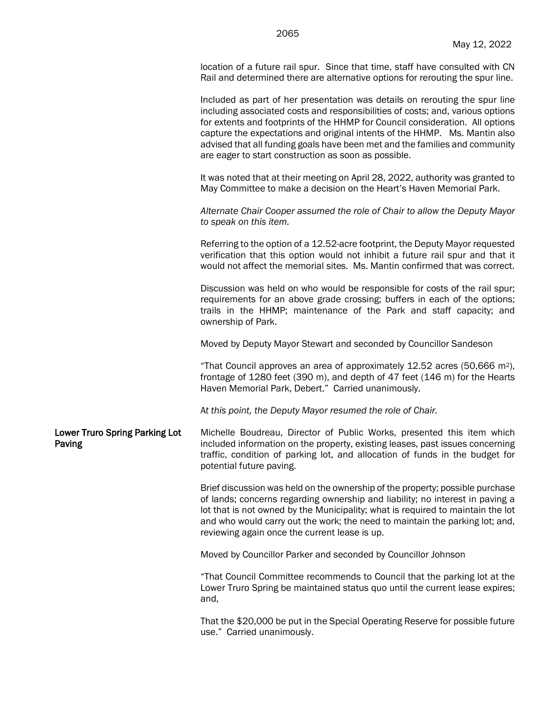location of a future rail spur. Since that time, staff have consulted with CN Rail and determined there are alternative options for rerouting the spur line.

Included as part of her presentation was details on rerouting the spur line including associated costs and responsibilities of costs; and, various options for extents and footprints of the HHMP for Council consideration. All options capture the expectations and original intents of the HHMP. Ms. Mantin also advised that all funding goals have been met and the families and community are eager to start construction as soon as possible.

It was noted that at their meeting on April 28, 2022, authority was granted to May Committee to make a decision on the Heart's Haven Memorial Park.

*Alternate Chair Cooper assumed the role of Chair to allow the Deputy Mayor to speak on this item.*

Referring to the option of a 12.52-acre footprint, the Deputy Mayor requested verification that this option would not inhibit a future rail spur and that it would not affect the memorial sites. Ms. Mantin confirmed that was correct.

Discussion was held on who would be responsible for costs of the rail spur; requirements for an above grade crossing; buffers in each of the options; trails in the HHMP; maintenance of the Park and staff capacity; and ownership of Park.

Moved by Deputy Mayor Stewart and seconded by Councillor Sandeson

"That Council approves an area of approximately 12.52 acres (50,666 m2), frontage of 1280 feet (390 m), and depth of 47 feet (146 m) for the Hearts Haven Memorial Park, Debert." Carried unanimously.

A*t this point, the Deputy Mayor resumed the role of Chair.*

Lower Truro Spring Parking Lot Paving Michelle Boudreau, Director of Public Works, presented this item which included information on the property, existing leases, past issues concerning traffic, condition of parking lot, and allocation of funds in the budget for potential future paving.

> Brief discussion was held on the ownership of the property; possible purchase of lands; concerns regarding ownership and liability; no interest in paving a lot that is not owned by the Municipality; what is required to maintain the lot and who would carry out the work; the need to maintain the parking lot; and, reviewing again once the current lease is up.

Moved by Councillor Parker and seconded by Councillor Johnson

"That Council Committee recommends to Council that the parking lot at the Lower Truro Spring be maintained status quo until the current lease expires; and,

That the \$20,000 be put in the Special Operating Reserve for possible future use." Carried unanimously.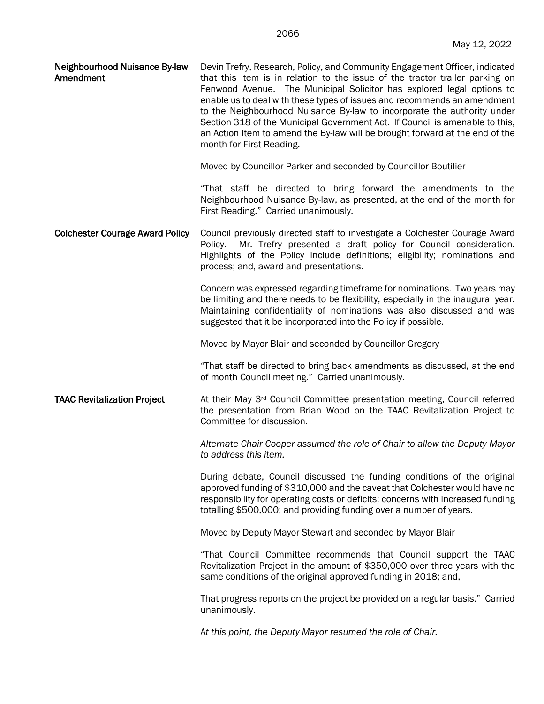| Neighbourhood Nuisance By-law<br>Amendment | Devin Trefry, Research, Policy, and Community Engagement Officer, indicated<br>that this item is in relation to the issue of the tractor trailer parking on<br>Fenwood Avenue. The Municipal Solicitor has explored legal options to<br>enable us to deal with these types of issues and recommends an amendment<br>to the Neighbourhood Nuisance By-law to incorporate the authority under |
|--------------------------------------------|---------------------------------------------------------------------------------------------------------------------------------------------------------------------------------------------------------------------------------------------------------------------------------------------------------------------------------------------------------------------------------------------|
|                                            | Section 318 of the Municipal Government Act. If Council is amenable to this,<br>an Action Item to amend the By-law will be brought forward at the end of the<br>month for First Reading.                                                                                                                                                                                                    |

Moved by Councillor Parker and seconded by Councillor Boutilier

"That staff be directed to bring forward the amendments to the Neighbourhood Nuisance By-law, as presented, at the end of the month for First Reading." Carried unanimously.

Colchester Courage Award Policy Council previously directed staff to investigate a Colchester Courage Award Policy. Mr. Trefry presented a draft policy for Council consideration. Highlights of the Policy include definitions; eligibility; nominations and process; and, award and presentations.

> Concern was expressed regarding timeframe for nominations. Two years may be limiting and there needs to be flexibility, especially in the inaugural year. Maintaining confidentiality of nominations was also discussed and was suggested that it be incorporated into the Policy if possible.

Moved by Mayor Blair and seconded by Councillor Gregory

"That staff be directed to bring back amendments as discussed, at the end of month Council meeting." Carried unanimously.

**TAAC Revitalization Project** At their May  $3^{rd}$  Council Committee presentation meeting, Council referred the presentation from Brian Wood on the TAAC Revitalization Project to Committee for discussion.

> *Alternate Chair Cooper assumed the role of Chair to allow the Deputy Mayor to address this item.*

> During debate, Council discussed the funding conditions of the original approved funding of \$310,000 and the caveat that Colchester would have no responsibility for operating costs or deficits; concerns with increased funding totalling \$500,000; and providing funding over a number of years.

Moved by Deputy Mayor Stewart and seconded by Mayor Blair

"That Council Committee recommends that Council support the TAAC Revitalization Project in the amount of \$350,000 over three years with the same conditions of the original approved funding in 2018; and,

That progress reports on the project be provided on a regular basis." Carried unanimously.

A*t this point, the Deputy Mayor resumed the role of Chair.*